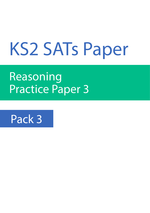# KS2 SATs Paper

Reasoning Practice Paper 3

Pack 3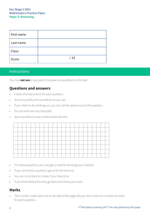#### **Key Stage 2 SATs Mathematics Practice Paper Paper 3: Reasoning**

| First name |     |
|------------|-----|
| Last name  |     |
| Class      |     |
| Score      | /35 |

# Instructions

You may not use a calculator to answer any questions in this test.

# **Questions and answers**

- Follow the instructions for each question.
- Work as quickly and as carefully as you can.
- If you need to do working out, you can use the space around the question.  $\ddot{\phantom{a}}$
- Do not write over any barcodes.
- Some questions have a method box like this:

- For these questions, you may get a mark for showing your method.
- If you cannot do a question, go on to the next one.  $\bullet$
- You can come back to it later, if you have time.  $\bullet$
- If you finish before the end, go back and check your work.  $\ddot{\phantom{0}}$

### **Marks**

The number under each line at the side of the page tells you the maximum number of marks for each question.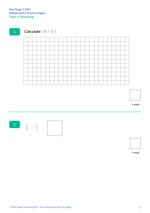**Key Stage 2 SATs Mathematics Practice Paper Paper 3: Reasoning**



**Calculate** 536 + 873







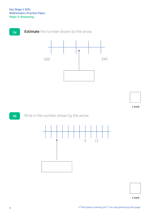**Key Stage 2 SATs Mathematics Practice Paper Paper 3: Reasoning**





**1 mark**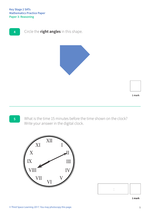

1 mark

 $\overline{5}$ 

What is the time 15 minutes before the time shown on the clock? Write your answer in the digital clock.



 $\ddot{\cdot}$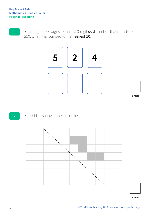## $6\phantom{a}$

Rearrange these digits to make a 3-digit odd number, that rounds to 250, when it is rounded to the **nearest 10**.





Reflect the shape in the mirror line.





1 mark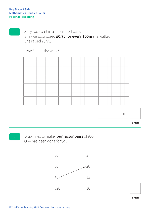Sally took part in a sponsored walk. 8 She was sponsored £0.70 for every 100m she walked. She raised £5.95

# How far did she walk?



1 mark

 $9<sup>°</sup>$ 

Draw lines to make four factor pairs of 960. One has been done for you



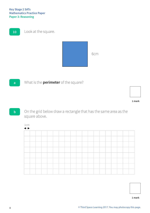**Key Stage 2 SATs Mathematics Practice Paper Paper 3: Reasoning** 



What is the **perimeter** of the square?

1 mark

On the grid below draw a rectangle that has the same area as the square above.

6cm

 $1cm$ 

 $\overline{a}$ 

 $\mathbf b$ 





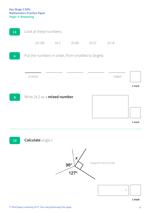**Key Stage 2 SATs Mathematics Practice Paper Paper 3: Reasoning** 

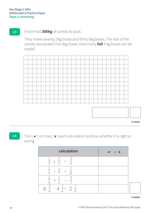### 13

A farm has 300kg of carrots to pack.

They make seventy 2kg boxes and thirty 3kg boxes. The rest of the carrots are packed into 4kg boxes. How many full 4 kg boxes can be made?



2 marks

Tick ( $\vee$ ) or cross ( $\mathbf x$ ) each calculation to show whether it is right or 14 wrong.

| calculation                                    | Or X<br>$\blacktriangleright$ |  |
|------------------------------------------------|-------------------------------|--|
| $\frac{1}{3} \times \frac{1}{2} = \frac{1}{3}$ |                               |  |
| $\frac{1}{\sqrt{2}}$ .<br>=<br>$\overline{Q}$  |                               |  |
|                                                |                               |  |
| $\frac{1}{2}$<br>글=                            |                               |  |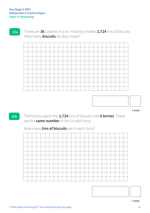#### $15a$

There are 36 cookies in a tin. A factory makes 2,724 tins of biscuits. How many **biscuits** do they make?

1 mark

 $15<sub>b</sub>$ 

The factory packs the 2,724 tins of biscuits into 6 lorries. There are the same number of tins in each lorry.

# How many tins of biscuits are in each lorry?



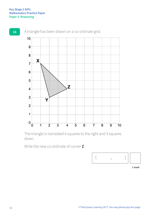

The triangle is translated 4 squares to the right and 3 squares down.

Write the new co-ordinate of corner Z.



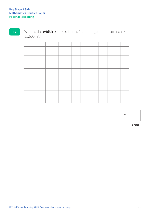# 17

# What is the width of a field that is 145m long and has an area of 11,600m<sup>2</sup>?

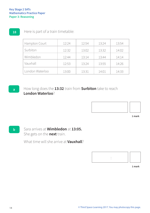# **18** Here is part of a train timetable:

| Hampton Court   | 12:24 | 12:54 | 13:24 | 13:54 |
|-----------------|-------|-------|-------|-------|
| Surbiton        | 12:32 | 13:02 | 13:32 | 14:02 |
| Wimbledon       | 12:44 | 13:14 | 13:44 | 14:14 |
| Vauxhall        | 12:53 | 13:24 | 13:55 | 14:26 |
| London Waterloo | 13:00 | 13:31 | 14:01 | 14:33 |

#### **a**

# How long does the 13:32 train from Surbiton take to reach London Waterloo?



**1 mark**

# **b**

Sara arrives at **Wimbledon** at 13:05. She gets on the **next** train.

What time will she arrive at **Vauxhall**?

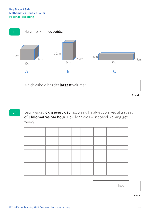

#### **20**

Leon walked **6km every day** last week. He always walked at a speed of 3 kilometres per hour. How long did Leon spend walking last week?



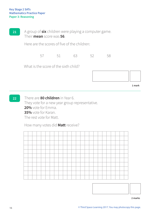#### A group of **six** children were playing a computer game. Their **mean** score was 56. **21**

Here are the scores of five of the children:

57 51 63 52 58

What is the score of the sixth child?



**1 mark**

There are **80 children** in Year 6. They vote for a new year group representative. **20%** vote for Emma. **35%** vote for Karan The rest vote for Matt.

How many votes did Matt receive?







**22**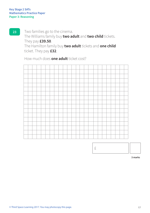**23**

Two families go to the cinema.

The Williams family buy two adult and two child tickets. They pay **£39.50**. The Hamilton family buy two adult tickets and one child

ticket. They pay £32.

How much does **one adult** ticket cost?





**3 marks**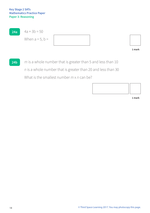**Key Stage 2 SATs Mathematics Practice Paper Paper 3: Reasoning** 





### $24<sub>b</sub>$

 $m$  is a whole number that is greater than 5 and less than 10  $n$  is a whole number that is greater than 20 and less than 30 What is the smallest number  $m \times n$  can be?

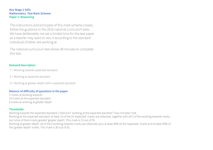The instructions and principles of this mark scheme closely follow the guidance in the 2016 national curriculum tests. We have deliberately not set a limited time for the test paper as a teacher may want to vary it according to the standard individual children are working at.

The national curriculum test allows 40 minutes to complete this test.

#### **Demand Descriptors**

T = Working towards expected standard

E = Working at expected standard

G = Working at greater depth within expected standard

#### **Balance of dificulty of questions in the paper**

5 marks at working towards 24 marks at the expected standard 6 marks at working at greater depth

#### **Thresholds**

Working towards the expected standard: Criteria for 'working at the expected standard' have not been met. Working at the expected standard: at least 10 of the 24 'expected' marks are obtained, together with all 5 of the working towards marks, but none of the 6 marks graded 'greater depth'. This mark is 15 out of 35. Working at greater depth: all of the 5 working towards marks are obtained, plus at least 90% of the 'expected' marks and at least 50% of the 'greater depth' marks. This mark is 30 out of 35.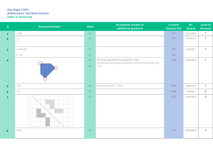| Q              | <b>Required answer</b>          | <b>Mark</b> | Acceptable answer or<br>additional guidance                                                                          | <b>Content</b><br><b>Domain Ref</b> | <b>NC</b><br><b>Strand</b> | <b>Level of</b><br>demand   |
|----------------|---------------------------------|-------------|----------------------------------------------------------------------------------------------------------------------|-------------------------------------|----------------------------|-----------------------------|
| $\mathbf{1}$   | 1,409                           | 1m          |                                                                                                                      | 3C2                                 | Calculation                | $\top$                      |
| 2 <sup>2</sup> | $\frac{2}{1}$<br>$\overline{7}$ | 1m          |                                                                                                                      | 4F4                                 | Fractions                  | $\mathsf{T}$                |
| 3 <sup>2</sup> | a. 623-624                      | 1m          |                                                                                                                      | 3N4                                 | Number                     | $\mathsf T$                 |
|                | $b. -30$                        | 1m          |                                                                                                                      | 4N5                                 |                            |                             |
| $\overline{4}$ |                                 | 1m<br>1m    | All three required for the award of 1 mark<br>Accept any unambiguous indication of the correct answer, e.g.<br>ticks | 3G4b                                | Geometry                   | $\top$                      |
| 5 <sup>5</sup> | 7:55                            | 1m          | Also accept 07:55 19:55                                                                                              | 3M4c                                | Measures                   | $\mathsf{T}$                |
| 6              | 245                             | 1m          |                                                                                                                      | 4N4b                                | Number                     | $\mathsf{E}% _{\mathsf{H}}$ |
| $\overline{7}$ |                                 | 1m          |                                                                                                                      | 4G <sub>2c</sub>                    | Geometry                   | G                           |
| 8              | 850m                            | 1m          |                                                                                                                      | 4C8                                 | Calculation                | $\mathsf E$                 |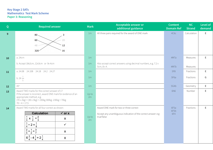| Q  | <b>Required answer</b>                                                                                                                                                                                                                                                                                                                                                 | <b>Mark</b>    | <b>Acceptable answer or</b><br>additional guidance                           | <b>Content</b><br><b>Domain Ref</b> | <b>NC</b><br><b>Strand</b> | <b>Level of</b><br>demand |
|----|------------------------------------------------------------------------------------------------------------------------------------------------------------------------------------------------------------------------------------------------------------------------------------------------------------------------------------------------------------------------|----------------|------------------------------------------------------------------------------|-------------------------------------|----------------------------|---------------------------|
| 9  | 80<<br>$60 -$<br>20<br>48<br>12<br>320 <sub>2</sub><br>16                                                                                                                                                                                                                                                                                                              | 1 <sub>m</sub> | All three pairs required for the award of ONE mark                           | 4C6c                                | Calculation                | $\mathsf{E}$              |
| 10 | a. 24cm                                                                                                                                                                                                                                                                                                                                                                | 1 <sub>m</sub> |                                                                              | 4M7a                                | Measures                   | E                         |
|    | b. Accept 18x2cm, 12x3cm or 9x4cm                                                                                                                                                                                                                                                                                                                                      | 1 <sub>m</sub> | Also accept correct answers using decimal numbers, e.g. 7.2 x<br>5cm, 8 x 4. | 4M7b                                | Measures                   |                           |
| 11 | a. 24.08 24.108 24.18 24.2 24.27                                                                                                                                                                                                                                                                                                                                       | 1m             |                                                                              | 5F8                                 | Fractions                  | $\mathsf E$               |
|    | b. $24\frac{1}{5}$                                                                                                                                                                                                                                                                                                                                                     | 1 <sub>m</sub> |                                                                              | 5F6a                                | Fractions                  | G                         |
| 12 | $45^{\circ}$                                                                                                                                                                                                                                                                                                                                                           | 1m             |                                                                              | 5G4b                                | Geometry                   | $\mathsf E$               |
| 13 | Award TWO marks for the correct answer of 17<br>If the answer is incorrect, award ONE mark for evidence of an<br>appropriate method, e.g.<br>$(70 \times 2 \text{kg}) + (30 \times 3 \text{kg}) = 230 \text{kg}$ 300kg -230kg = 70kg<br>$70 \div 4 = 17.5$                                                                                                             | Up to<br>2m    |                                                                              | 6N6                                 | Number                     | $\mathsf E$               |
| 14 | Award TWO marks for all four correct as shown:                                                                                                                                                                                                                                                                                                                         |                | Award ONE mark for two or three correct                                      | 6F5a<br>6F5b                        | Fractions                  | $\mathsf E$               |
|    | <b>Calculation</b><br>$\checkmark$ or $\checkmark$<br>$=\frac{2}{3}$<br>$\frac{1}{3}$<br>$\frac{1}{2}$<br>$\mathbf{x}$<br>$\boldsymbol{\mathsf{X}}$<br>$\frac{1}{4} \div 2 = \frac{1}{8}$<br>$\checkmark$<br>$\frac{2}{5} + \frac{1}{2} = \frac{3}{7}$<br>$\boldsymbol{\mathsf{X}}$<br>$6\frac{3}{4}$ - 4 $\frac{1}{4}$ = 2 $\frac{1}{4}$<br>$\boldsymbol{\mathsf{X}}$ | Up to<br>2m    | Accept any unambiguous indication of the correct answer e.g.<br>true/false   | 6F4                                 |                            |                           |